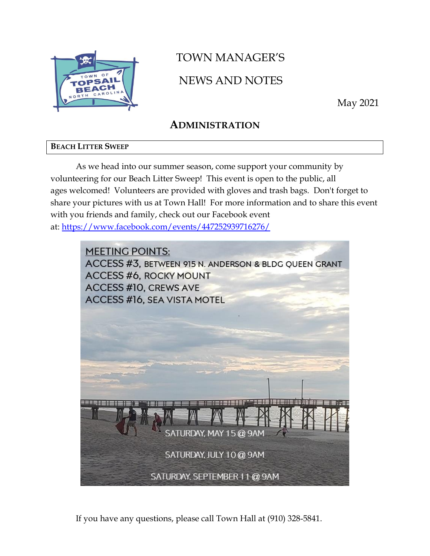

# TOWN MANAGER'S NEWS AND NOTES

May 2021

# **ADMINISTRATION**

### **BEACH LITTER SWEEP**

As we head into our summer season, come support your community by volunteering for our Beach Litter Sweep! This event is open to the public, all ages welcomed! Volunteers are provided with gloves and trash bags. Don't forget to share your pictures with us at Town Hall! For more information and to share this event with you friends and family, check out our Facebook event at: <https://www.facebook.com/events/447252939716276/>



If you have any questions, please call Town Hall at (910) 328-5841.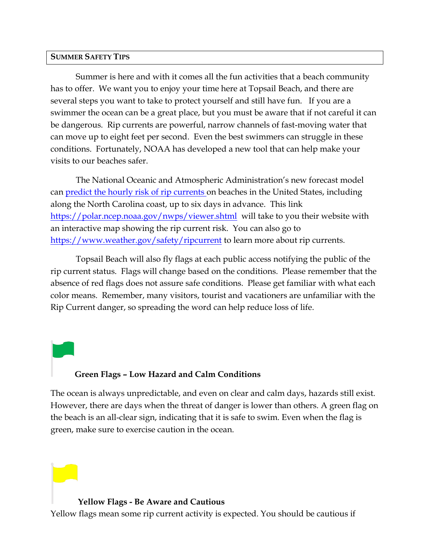#### **SUMMER SAFETY TIPS**

Summer is here and with it comes all the fun activities that a beach community has to offer. We want you to enjoy your time here at Topsail Beach, and there are several steps you want to take to protect yourself and still have fun. If you are a swimmer the ocean can be a great place, but you must be aware that if not careful it can be dangerous. Rip currents are powerful, narrow channels of fast-moving water that can move up to eight feet per second. Even the best swimmers can struggle in these conditions. Fortunately, NOAA has developed a new tool that can help make your visits to our beaches safer.

The National Oceanic and Atmospheric Administration's new forecast model can **[predict the hourly risk of rip currents](https://oceanservice.noaa.gov/news/apr21/rip-current-forecast.html)** on beaches in the United States, including along the North Carolina coast, up to six days in advance. This link <https://polar.ncep.noaa.gov/nwps/viewer.shtml> will take to you their website with an interactive map showing the rip current risk. You can also go to <https://www.weather.gov/safety/ripcurrent> to learn more about rip currents.

Topsail Beach will also fly flags at each public access notifying the public of the rip current status. Flags will change based on the conditions. Please remember that the absence of red flags does not assure safe conditions. Please get familiar with what each color means. Remember, many visitors, tourist and vacationers are unfamiliar with the Rip Current danger, so spreading the word can help reduce loss of life.

### **Green Flags – Low Hazard and Calm Conditions**

The ocean is always unpredictable, and even on clear and calm days, hazards still exist. However, there are days when the threat of danger is lower than others. A green flag on the beach is an all-clear sign, indicating that it is safe to swim. Even when the flag is green, make sure to exercise caution in the ocean.

#### **Yellow Flags - Be Aware and Cautious**

Yellow flags mean some rip current activity is expected. You should be cautious if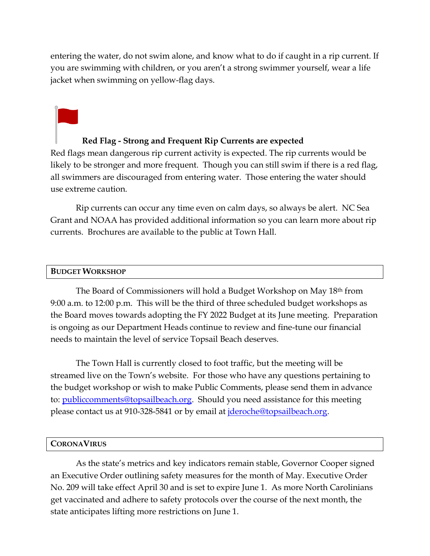entering the water, do not swim alone, and know what to do if caught in a rip current. If you are swimming with children, or you aren't a strong swimmer yourself, wear a life jacket when swimming on yellow-flag days.

### **Red Flag - Strong and Frequent Rip Currents are expected**

Red flags mean dangerous rip current activity is expected. The rip currents would be likely to be stronger and more frequent. Though you can still swim if there is a red flag, all swimmers are discouraged from entering water. Those entering the water should use extreme caution.

Rip currents can occur any time even on calm days, so always be alert. NC Sea Grant and NOAA has provided additional information so you can learn more about rip currents. Brochures are available to the public at Town Hall.

#### **BUDGET WORKSHOP**

The Board of Commissioners will hold a Budget Workshop on May 18<sup>th</sup> from 9:00 a.m. to 12:00 p.m. This will be the third of three scheduled budget workshops as the Board moves towards adopting the FY 2022 Budget at its June meeting. Preparation is ongoing as our Department Heads continue to review and fine-tune our financial needs to maintain the level of service Topsail Beach deserves.

The Town Hall is currently closed to foot traffic, but the meeting will be streamed live on the Town's website. For those who have any questions pertaining to the budget workshop or wish to make Public Comments, please send them in advance to: [publiccomments@topsailbeach.org.](mailto:publiccomments@topsailbeach.org) Should you need assistance for this meeting please contact us at 910-328-5841 or by email at *jderoche@topsailbeach.org*.

#### **CORONAVIRUS**

As the state's metrics and key indicators remain stable, Governor Cooper signed an Executive Order outlining safety measures for the month of May. Executive Order No. 209 will take effect April 30 and is set to expire June 1. As more North Carolinians get vaccinated and adhere to safety protocols over the course of the next month, the state anticipates lifting more restrictions on June 1.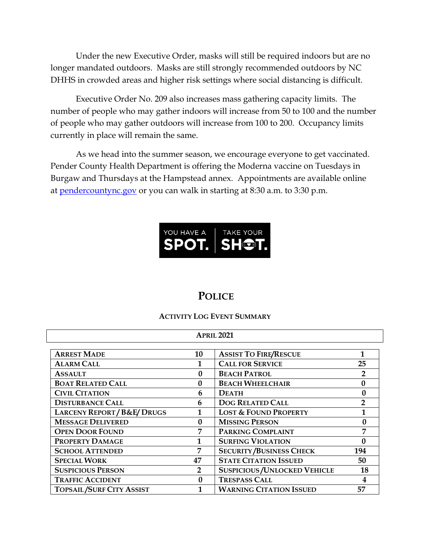Under the new Executive Order, masks will still be required indoors but are no longer mandated outdoors. Masks are still strongly recommended outdoors by NC DHHS in crowded areas and higher risk settings where social distancing is difficult.

Executive Order No. 209 also increases mass gathering capacity limits. The number of people who may gather indoors will increase from 50 to 100 and the number of people who may gather outdoors will increase from 100 to 200. Occupancy limits currently in place will remain the same.

As we head into the summer season, we encourage everyone to get vaccinated. Pender County Health Department is offering the Moderna vaccine on Tuesdays in Burgaw and Thursdays at the Hampstead annex. Appointments are available online at [pendercountync.gov](https://www.pendercountync.gov/) or you can walk in starting at 8:30 a.m. to 3:30 p.m.



### **POLICE**

### **ACTIVITY LOG EVENT SUMMARY**

| <b>APRIL 2021</b>                   |                |                                            |                |  |  |
|-------------------------------------|----------------|--------------------------------------------|----------------|--|--|
| <b>ARREST MADE</b>                  | 10             | <b>ASSIST TO FIRE/RESCUE</b>               | 1              |  |  |
| <b>ALARM CALL</b>                   |                | <b>CALL FOR SERVICE</b>                    | 25             |  |  |
| <b>ASSAULT</b>                      | $\mathbf{0}$   | <b>BEACH PATROL</b>                        |                |  |  |
| <b>BOAT RELATED CALL</b>            | 0              | <b>BEACH WHEELCHAIR</b>                    |                |  |  |
| <b>CIVIL CITATION</b>               | 6              | <b>DEATH</b>                               | 0              |  |  |
| <b>DISTURBANCE CALL</b>             | 6              | <b>DOG RELATED CALL</b>                    | $\overline{2}$ |  |  |
| <b>LARCENY REPORT/B&amp;E/DRUGS</b> | 1              | <b>LOST &amp; FOUND PROPERTY</b>           | $\mathbf{1}$   |  |  |
| <b>MESSAGE DELIVERED</b>            | $\mathbf{0}$   | <b>MISSING PERSON</b>                      | 0              |  |  |
| <b>OPEN DOOR FOUND</b>              | $\overline{7}$ | PARKING COMPLAINT                          | 7              |  |  |
| <b>PROPERTY DAMAGE</b>              | 1              | <b>SURFING VIOLATION</b>                   | $\Omega$       |  |  |
| <b>SCHOOL ATTENDED</b>              | 7              | <b>SECURITY/BUSINESS CHECK</b>             | 194            |  |  |
| <b>SPECIAL WORK</b>                 | 47             | <b>STATE CITATION ISSUED</b>               | 50             |  |  |
| <b>SUSPICIOUS PERSON</b>            | $\overline{2}$ | <b>SUSPICIOUS / UNLOCKED VEHICLE</b><br>18 |                |  |  |
| <b>TRAFFIC ACCIDENT</b>             | $\Omega$       | <b>TRESPASS CALL</b>                       | 4              |  |  |
| <b>TOPSAIL/SURF CITY ASSIST</b>     |                | <b>WARNING CITATION ISSUED</b>             | 57             |  |  |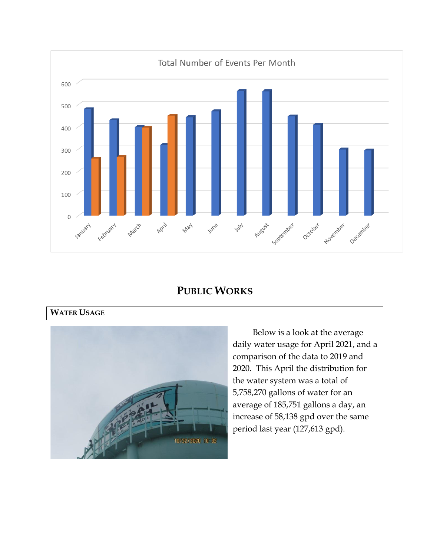

## **PUBLIC WORKS**

### **WATER USAGE**



Below is a look at the average daily water usage for April 2021, and a comparison of the data to 2019 and 2020. This April the distribution for the water system was a total of 5,758,270 gallons of water for an average of 185,751 gallons a day, an increase of 58,138 gpd over the same period last year (127,613 gpd).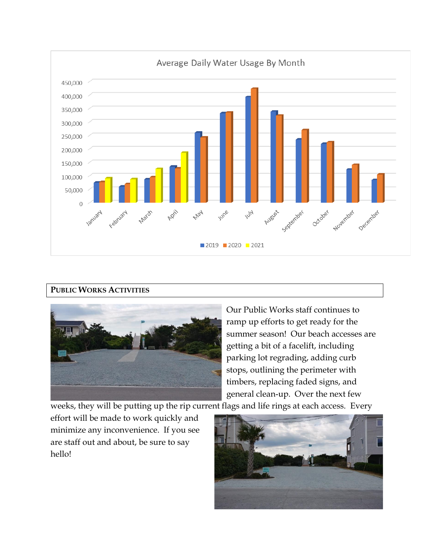

### **PUBLIC WORKS ACTIVITIES**



Our Public Works staff continues to ramp up efforts to get ready for the summer season! Our beach accesses are getting a bit of a facelift, including parking lot regrading, adding curb stops, outlining the perimeter with timbers, replacing faded signs, and general clean-up. Over the next few

weeks, they will be putting up the rip current flags and life rings at each access. Every

effort will be made to work quickly and minimize any inconvenience. If you see are staff out and about, be sure to say hello!

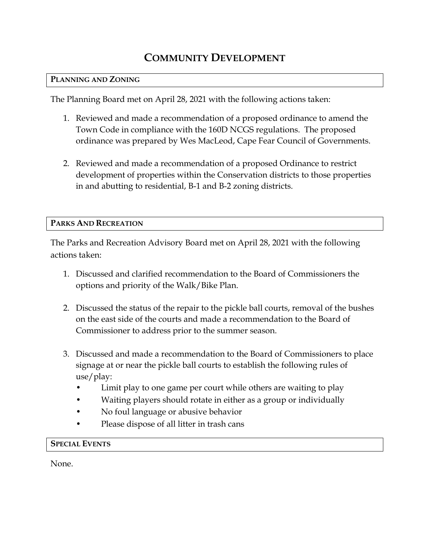# **COMMUNITY DEVELOPMENT**

### **PLANNING AND ZONING**

The Planning Board met on April 28, 2021 with the following actions taken:

- 1. Reviewed and made a recommendation of a proposed ordinance to amend the Town Code in compliance with the 160D NCGS regulations. The proposed ordinance was prepared by Wes MacLeod, Cape Fear Council of Governments.
- 2. Reviewed and made a recommendation of a proposed Ordinance to restrict development of properties within the Conservation districts to those properties in and abutting to residential, B-1 and B-2 zoning districts.

#### **PARKS AND RECREATION**

The Parks and Recreation Advisory Board met on April 28, 2021 with the following actions taken:

- 1. Discussed and clarified recommendation to the Board of Commissioners the options and priority of the Walk/Bike Plan.
- 2. Discussed the status of the repair to the pickle ball courts, removal of the bushes on the east side of the courts and made a recommendation to the Board of Commissioner to address prior to the summer season.
- 3. Discussed and made a recommendation to the Board of Commissioners to place signage at or near the pickle ball courts to establish the following rules of use/play:
	- Limit play to one game per court while others are waiting to play
	- Waiting players should rotate in either as a group or individually
	- No foul language or abusive behavior
	- Please dispose of all litter in trash cans

### **SPECIAL EVENTS**

None.